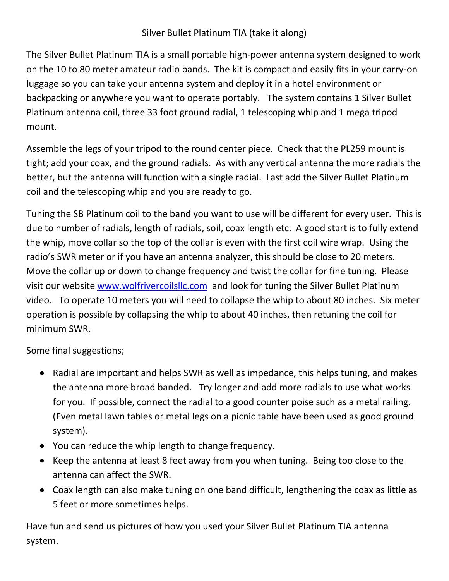## Silver Bullet Platinum TIA (take it along)

The Silver Bullet Platinum TIA is a small portable high-power antenna system designed to work on the 10 to 80 meter amateur radio bands. The kit is compact and easily fits in your carry-on luggage so you can take your antenna system and deploy it in a hotel environment or backpacking or anywhere you want to operate portably. The system contains 1 Silver Bullet Platinum antenna coil, three 33 foot ground radial, 1 telescoping whip and 1 mega tripod mount.

Assemble the legs of your tripod to the round center piece. Check that the PL259 mount is tight; add your coax, and the ground radials. As with any vertical antenna the more radials the better, but the antenna will function with a single radial. Last add the Silver Bullet Platinum coil and the telescoping whip and you are ready to go.

Tuning the SB Platinum coil to the band you want to use will be different for every user. This is due to number of radials, length of radials, soil, coax length etc. A good start is to fully extend the whip, move collar so the top of the collar is even with the first coil wire wrap. Using the radio's SWR meter or if you have an antenna analyzer, this should be close to 20 meters. Move the collar up or down to change frequency and twist the collar for fine tuning. Please visit our website [www.wolfrivercoilsllc.com](http://www.wolfrivercoilsllc.com/) and look for tuning the Silver Bullet Platinum video. To operate 10 meters you will need to collapse the whip to about 80 inches. Six meter operation is possible by collapsing the whip to about 40 inches, then retuning the coil for minimum SWR.

Some final suggestions;

- Radial are important and helps SWR as well as impedance, this helps tuning, and makes the antenna more broad banded. Try longer and add more radials to use what works for you. If possible, connect the radial to a good counter poise such as a metal railing. (Even metal lawn tables or metal legs on a picnic table have been used as good ground system).
- You can reduce the whip length to change frequency.
- Keep the antenna at least 8 feet away from you when tuning. Being too close to the antenna can affect the SWR.
- Coax length can also make tuning on one band difficult, lengthening the coax as little as 5 feet or more sometimes helps.

Have fun and send us pictures of how you used your Silver Bullet Platinum TIA antenna system.